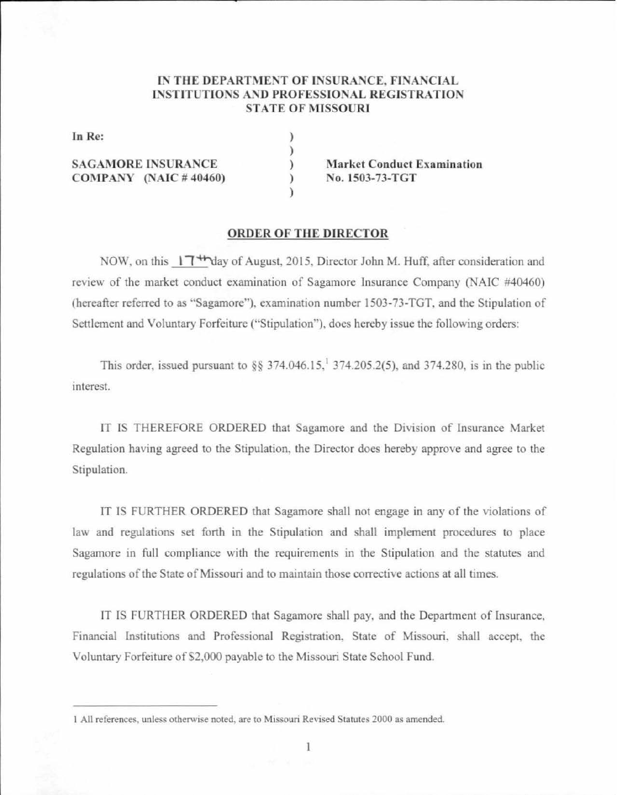### IN THE DEPARTMENT OF INSURANCE, FINANCIAL INSTITUTIONS AND PROFESSIONAL REGISTRATION **STATE OF MISSOURI**

) ) ) ) )

In Re:

**SAGAMORE INSURANCE C0 1\-1PANY (NAlC** # 40460) Market Conduct Examination No. 1503-73-TGT

### **ORDER OF THE DIRECTOR**

NOW, on this 17<sup>+h</sup>day of August, 2015. Director John M. Huff. after consideration and review of the market conduct examination of Sagamore lnsurance Company (NAIC #40460) (hereafter referred to as "Sagamore"), examination number 1503-73-TGT, and the Stipulation of Settlement and Voluntary Forfeiture ("Stipulation"), does hereby issue the following orders:

This order, issued pursuant to  $\S$ § 374.046.15,<sup>1</sup> 374.205.2(5), and 374.280, is in the public interest.

IT IS THEREFORE ORDERED that Sagamore and the Division of Insurance Market Regulation having agreed to the Stipulation. the Director does hereby approve and agree to the Stipulation.

IT JS FURTHER ORDERED that Sagamore shall not engage in any of the violations of law and regulations set forth in the Stipulation and shall implement procedures to place Sagamore in full compliance with the requirements in the Stipulation and the statutes and regulations of the State of Missouri and to maintain those corrective actions at all times.

IT IS FURTHER ORDERED that Sagamore shall pay, and the Department of Insurance, Financial Institutions and Professional Registration, State of Missouri, shall accept, the Voluntary Forfeiture of S2,000 payable to the Missouri State School Fund.

<sup>1</sup> All references, unless otherwise noted, are to Missouri Revised Statutes 2000 as amended.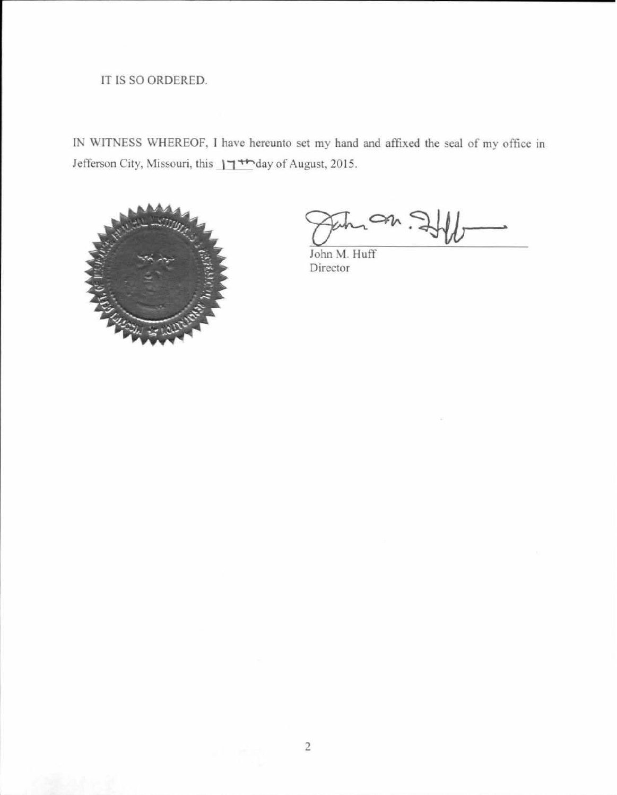# IT IS SO ORDERED.

IN WITNESS WHEREOF, I have hereunto set my hand and affixed the seal of my office in Jefferson City, Missouri, this  $\frac{1}{1 + \frac{1}{2}}$  day of August, 2015.



John M. Huff Director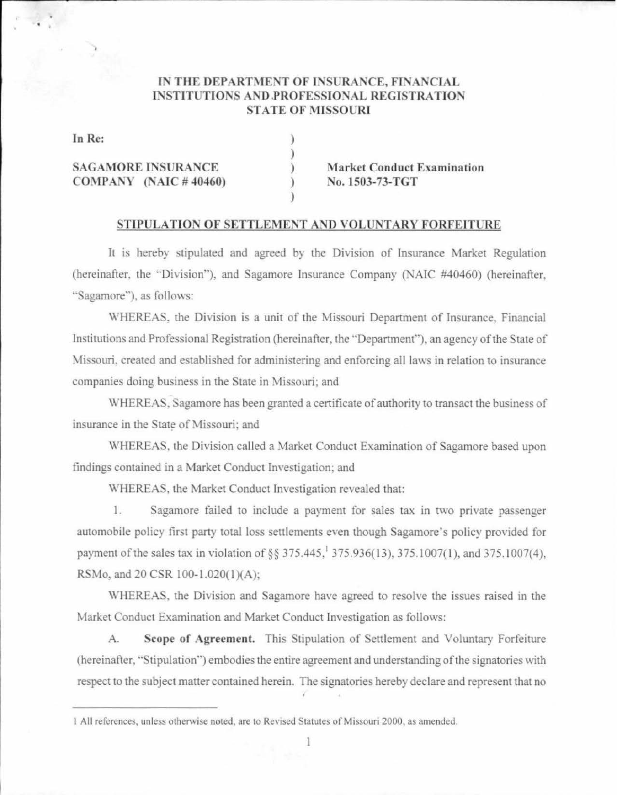## IN THE DEPARTMENT OF INSURANCE, FINANCIAL **INSTITUTIONS AND PROFESSIONAL REGISTRATION STATE OF MISSOURI**

In Re:

**SAGAMORE INSURANCE** COMPANY (NAIC  $\#$  40460) **Market Conduct Examination** No. 1503-73-TGT

### STIPULATION OF SETTLEMENT AND VOLUNTARY FORFEITURE

It is hereby stipulated and agreed by the Division of Insurance Market Regulation (hereinafter, the "Division"), and Sagamore Insurance Company (NAIC #40460) (hereinafter, "Sagamore"), as follows:

WHEREAS, the Division is a unit of the Missouri Department of Insurance, Financial Institutions and Professional Registration (hereinafter, the "Department"), an agency of the State of Missouri, created and established for administering and enforcing all laws in relation to insurance companies doing business in the State in Missouri; and

WHEREAS, Sagamore has been granted a certificate of authority to transact the business of insurance in the State of Missouri; and

WHEREAS, the Division called a Market Conduct Examination of Sagamore based upon findings contained in a Market Conduct Investigation; and

WHEREAS, the Market Conduct Investigation revealed that:

 $1.$ Sagamore failed to include a payment for sales tax in two private passenger automobile policy first party total loss settlements even though Sagamore's policy provided for payment of the sales tax in violation of §§ 375.445,<sup>1</sup> 375.936(13), 375.1007(1), and 375.1007(4), RSMo, and 20 CSR 100-1.020(1)(A);

WHEREAS, the Division and Sagamore have agreed to resolve the issues raised in the Market Conduct Examination and Market Conduct Investigation as follows:

Scope of Agreement. This Stipulation of Settlement and Voluntary Forfeiture  $A$ . (hereinafter, "Stipulation") embodies the entire agreement and understanding of the signatories with respect to the subject matter contained herein. The signatories hereby declare and represent that no

<sup>1</sup> All references, unless otherwise noted, are to Revised Statutes of Missouri 2000, as amended.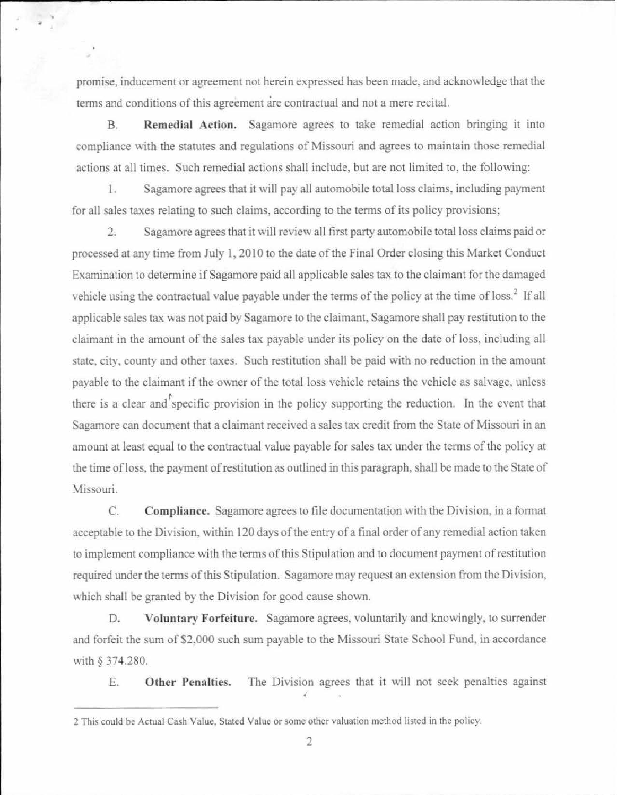promise, inducemem or agreement not herein expressed has been made. and acknowledge that the terms and conditions of this agreement are contractual and not a mere recital.

. The contribution of the contribution of the contribution of  $\mathcal{L}_1$ 

B. **Remedial Action.** Sagamore agrees to take remedial action bringing it into compliance with the statutes and regulations of Missouri and agrees to maintain those remedial actions at all times. Such remedial actions shall include, but are not limited to, the following:

1. Sagamore agrees that it will pay all automobile total loss claims, including payment for all sales taxes relating to such claims, according to the terms of its policy provisions;

2. Sagamore agrees that it will review all first party automobile total loss claims paid or processed at any time from July 1, 2010 to the date of the Final Order closing this Market Conduct Examination to determine if Sagamore paid all applicable sales tax to the claimant for the damaged vehicle using the contractual value payable under the terms of the policy at the time of loss.<sup>2</sup> If all applicable sales tax was not paid by Sagamore to the claimant. Sagamore shall pay restitution to the claimant in the amount of the sales tax payable under its policy on the date of loss, including all state, city, county and other taxes. Such restitution shall be paid with no reduction in the amount payable to the claimant if the owner of the total loss vehicle retains the vehicle as salvage. unless there is a clear and specific provision in the policy supporting the reduction. In the event that Sagamore can document that a claimant received a *sales* tax credit from the State of Missouri in an amount at least equal to the contractual value payable for sales tax under the terms of the policy at the time of loss, the payment of restitution as outlined in this paragraph, shall be made to the State of Missouri.

C. **Compliance.** Sagamore agrees to file documentation with the Division, in a format acceptable to the Division, within 120 days of the entry of a final order of any remedial action taken to implement compliance with the terms of this Stipulation and to document payment ofrestitution required under the terms of this Stipulation. Sagamore may request an extension from the Division, which shall be granted by the Division for good cause shown.

D. **Voluntary Forfeiture.** Sagamore agrees. voluntarily and knowingly, to surrender and forfeit the sum of \$2.000 such sum payable to the Missouri State School Fund. in accordance with § 374.280.

E. **Other Penalties.** The Division agrees that it will not seek penalties against

<sup>2</sup> This could be Actual Cash Value. Stated Value or some other valuation method listed in the policy.